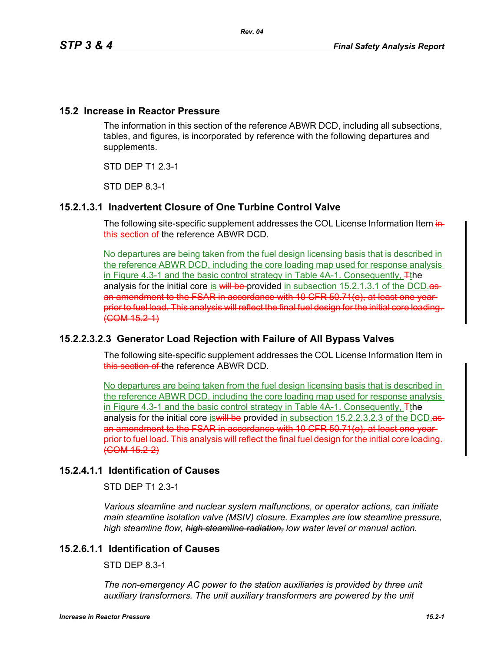## **15.2 Increase in Reactor Pressure**

The information in this section of the reference ABWR DCD, including all subsections, tables, and figures, is incorporated by reference with the following departures and supplements.

STD DEP T1 2.3-1

STD DEP 8.3-1

# **15.2.1.3.1 Inadvertent Closure of One Turbine Control Valve**

The following site-specific supplement addresses the COL License Information Item inthis section of the reference ABWR DCD.

No departures are being taken from the fuel design licensing basis that is described in the reference ABWR DCD, including the core loading map used for response analysis in Figure 4.3-1 and the basic control strategy in Table 4A-1. Consequently, Tthe analysis for the initial core is will be provided in subsection 15.2.1.3.1 of the DCD. an amendment to the FSAR in accordance with 10 CFR 50.71(e), at least one year prior to fuel load. This analysis will reflect the final fuel design for the initial core loading.  $(**COM 15.2-1**)$ 

# **15.2.2.3.2.3 Generator Load Rejection with Failure of All Bypass Valves**

The following site-specific supplement addresses the COL License Information Item in this section of the reference ABWR DCD.

No departures are being taken from the fuel design licensing basis that is described in the reference ABWR DCD, including the core loading map used for response analysis in Figure 4.3-1 and the basic control strategy in Table 4A-1. Consequently,  $\pm$ the analysis for the initial core is will be provided in subsection 15.2.2.3.2.3 of the DCD asan amendment to the FSAR in accordance with 10 CFR 50.71(e), at least one year prior to fuel load. This analysis will reflect the final fuel design for the initial core loading. (COM 15.2-2)

# **15.2.4.1.1 Identification of Causes**

STD DEP T1 2.3-1

*Various steamline and nuclear system malfunctions, or operator actions, can initiate main steamline isolation valve (MSIV) closure. Examples are low steamline pressure, high steamline flow, high steamline radiation, low water level or manual action.*

# **15.2.6.1.1 Identification of Causes**

STD DEP 8.3-1

The non-emergency AC power to the station auxiliaries is provided by three unit auxiliary transformers. The unit auxiliary transformers are powered by the unit